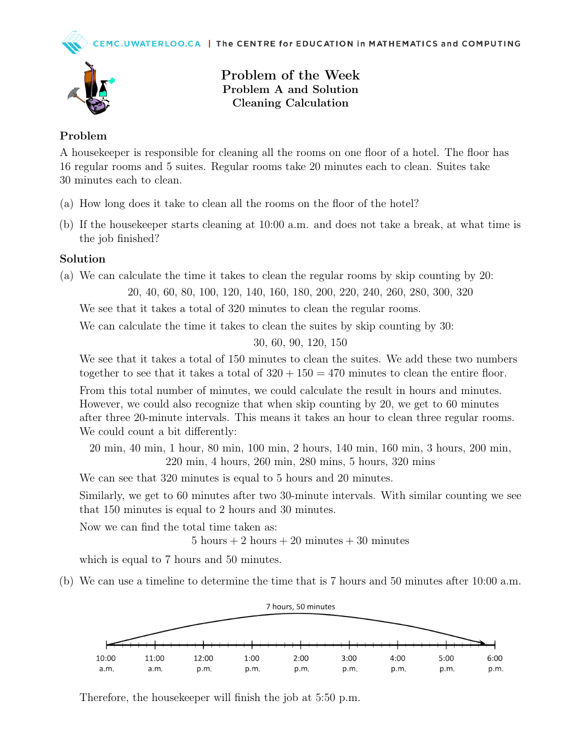



Problem of the Week Problem A and Solution Cleaning Calculation

## Problem

A housekeeper is responsible for cleaning all the rooms on one floor of a hotel. The floor has 16 regular rooms and 5 suites. Regular rooms take 20 minutes each to clean. Suites take 30 minutes each to clean.

- (a) How long does it take to clean all the rooms on the floor of the hotel?
- (b) If the housekeeper starts cleaning at 10:00 a.m. and does not take a break, at what time is the job finished?

## Solution

(a) We can calculate the time it takes to clean the regular rooms by skip counting by 20:

20, 40, 60, 80, 100, 120, 140, 160, 180, 200, 220, 240, 260, 280, 300, 320

We see that it takes a total of 320 minutes to clean the regular rooms.

We can calculate the time it takes to clean the suites by skip counting by 30:

30, 60, 90, 120, 150

We see that it takes a total of 150 minutes to clean the suites. We add these two numbers together to see that it takes a total of  $320 + 150 = 470$  minutes to clean the entire floor.

From this total number of minutes, we could calculate the result in hours and minutes. However, we could also recognize that when skip counting by 20, we get to 60 minutes after three 20-minute intervals. This means it takes an hour to clean three regular rooms. We could count a bit differently:

20 min, 40 min, 1 hour, 80 min, 100 min, 2 hours, 140 min, 160 min, 3 hours, 200 min, 220 min, 4 hours, 260 min, 280 mins, 5 hours, 320 mins

We can see that 320 minutes is equal to 5 hours and 20 minutes.

Similarly, we get to 60 minutes after two 30-minute intervals. With similar counting we see that 150 minutes is equal to 2 hours and 30 minutes.

Now we can find the total time taken as:

5 hours  $+ 2$  hours  $+ 20$  minutes  $+ 30$  minutes

which is equal to 7 hours and 50 minutes.

(b) We can use a timeline to determine the time that is 7 hours and 50 minutes after 10:00 a.m.



Therefore, the housekeeper will finish the job at 5:50 p.m.